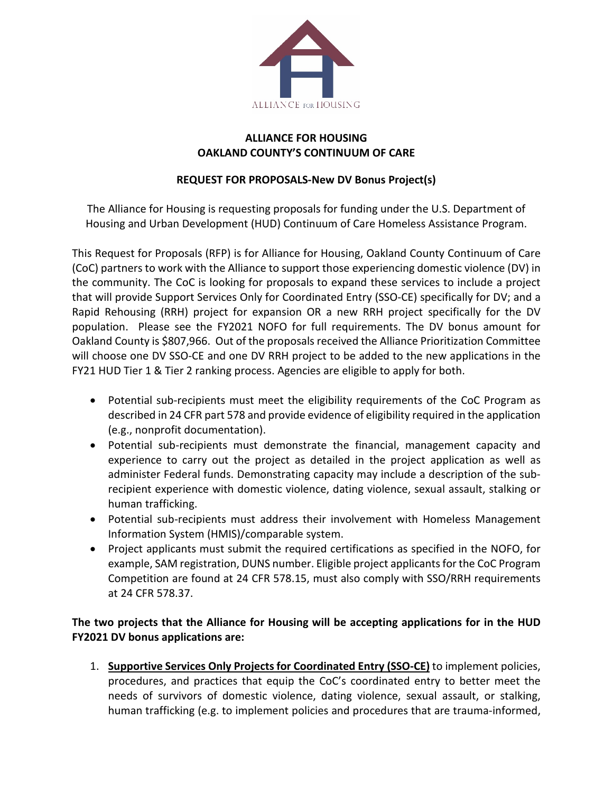

## **ALLIANCE FOR HOUSING OAKLAND COUNTY'S CONTINUUM OF CARE**

## **REQUEST FOR PROPOSALS-New DV Bonus Project(s)**

The Alliance for Housing is requesting proposals for funding under the U.S. Department of Housing and Urban Development (HUD) Continuum of Care Homeless Assistance Program.

This Request for Proposals (RFP) is for Alliance for Housing, Oakland County Continuum of Care (CoC) partners to work with the Alliance to support those experiencing domestic violence (DV) in the community. The CoC is looking for proposals to expand these services to include a project that will provide Support Services Only for Coordinated Entry (SSO-CE) specifically for DV; and a Rapid Rehousing (RRH) project for expansion OR a new RRH project specifically for the DV population. Please see the FY2021 NOFO for full requirements. The DV bonus amount for Oakland County is \$807,966. Out of the proposals received the Alliance Prioritization Committee will choose one DV SSO-CE and one DV RRH project to be added to the new applications in the FY21 HUD Tier 1 & Tier 2 ranking process. Agencies are eligible to apply for both.

- Potential sub-recipients must meet the eligibility requirements of the CoC Program as described in 24 CFR part 578 and provide evidence of eligibility required in the application (e.g., nonprofit documentation).
- Potential sub-recipients must demonstrate the financial, management capacity and experience to carry out the project as detailed in the project application as well as administer Federal funds. Demonstrating capacity may include a description of the subrecipient experience with domestic violence, dating violence, sexual assault, stalking or human trafficking.
- Potential sub-recipients must address their involvement with Homeless Management Information System (HMIS)/comparable system.
- Project applicants must submit the required certifications as specified in the NOFO, for example, SAM registration, DUNS number. Eligible project applicants for the CoC Program Competition are found at 24 CFR 578.15, must also comply with SSO/RRH requirements at 24 CFR 578.37.

# **The two projects that the Alliance for Housing will be accepting applications for in the HUD FY2021 DV bonus applications are:**

1. **Supportive Services Only Projects for Coordinated Entry (SSO-CE)** to implement policies, procedures, and practices that equip the CoC's coordinated entry to better meet the needs of survivors of domestic violence, dating violence, sexual assault, or stalking, human trafficking (e.g. to implement policies and procedures that are trauma-informed,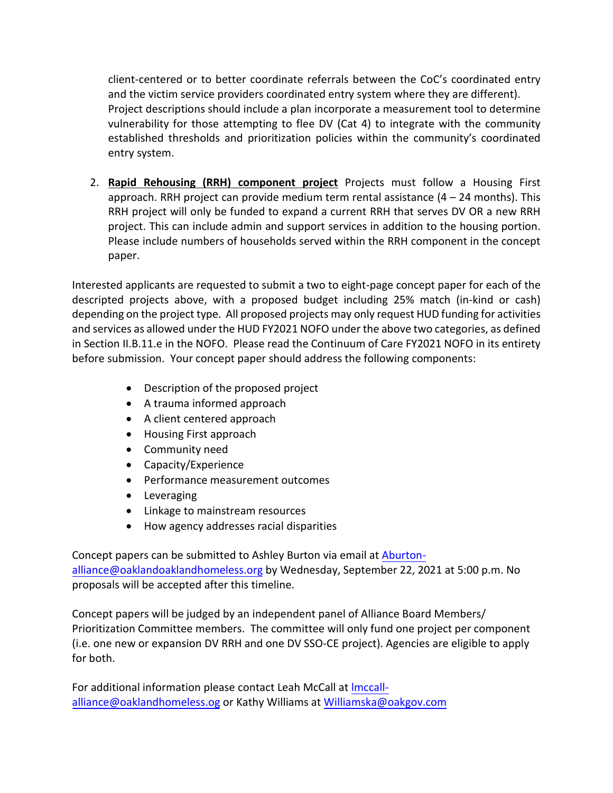client-centered or to better coordinate referrals between the CoC's coordinated entry and the victim service providers coordinated entry system where they are different). Project descriptions should include a plan incorporate a measurement tool to determine vulnerability for those attempting to flee DV (Cat 4) to integrate with the community established thresholds and prioritization policies within the community's coordinated entry system.

2. **Rapid Rehousing (RRH) component project** Projects must follow a Housing First approach. RRH project can provide medium term rental assistance  $(4 - 24$  months). This RRH project will only be funded to expand a current RRH that serves DV OR a new RRH project. This can include admin and support services in addition to the housing portion. Please include numbers of households served within the RRH component in the concept paper.

Interested applicants are requested to submit a two to eight-page concept paper for each of the descripted projects above, with a proposed budget including 25% match (in-kind or cash) depending on the project type. All proposed projects may only request HUD funding for activities and services as allowed under the HUD FY2021 NOFO under the above two categories, as defined in Section II.B.11.e in the NOFO. Please read the Continuum of Care FY2021 NOFO in its entirety before submission. Your concept paper should address the following components:

- Description of the proposed project
- A trauma informed approach
- A client centered approach
- Housing First approach
- Community need
- Capacity/Experience
- Performance measurement outcomes
- Leveraging
- Linkage to mainstream resources
- How agency addresses racial disparities

Concept papers can be submitted to Ashley Burton via email at [Aburton](mailto:Aburton-alliance@oaklandoaklandhomeless.org)[alliance@oaklandoaklandhomeless.org](mailto:Aburton-alliance@oaklandoaklandhomeless.org) by Wednesday, September 22, 2021 at 5:00 p.m. No proposals will be accepted after this timeline.

Concept papers will be judged by an independent panel of Alliance Board Members/ Prioritization Committee members. The committee will only fund one project per component (i.e. one new or expansion DV RRH and one DV SSO-CE project). Agencies are eligible to apply for both.

[For additional information please contact](mailto:lmccall-alliance@oaklandhomeless.og) Leah McCall at Imccallalliance@oaklandhomeless.og or Kathy Williams at Williamska@oakgov.com